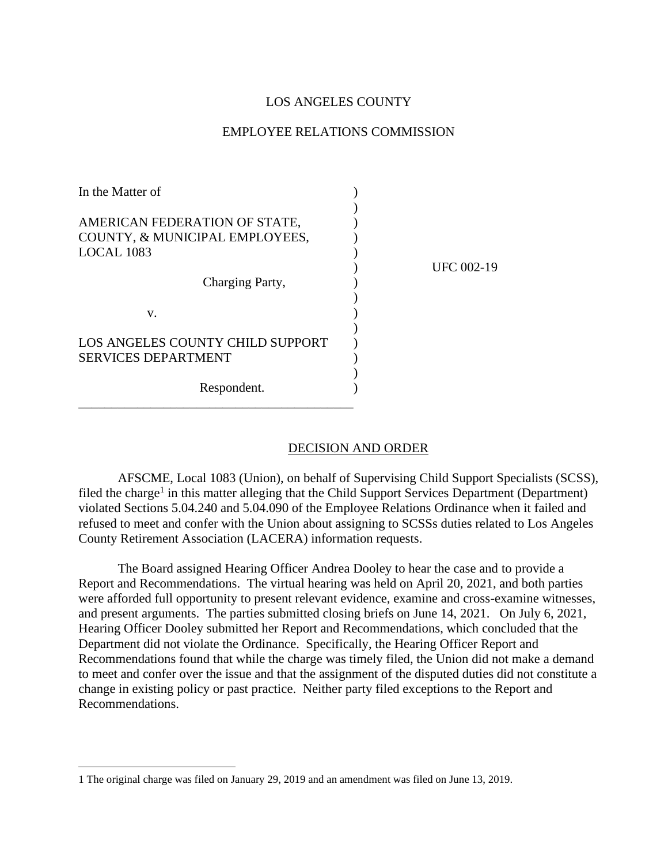## LOS ANGELES COUNTY

## EMPLOYEE RELATIONS COMMISSION

| In the Matter of                                                              |            |
|-------------------------------------------------------------------------------|------------|
| AMERICAN FEDERATION OF STATE,<br>COUNTY, & MUNICIPAL EMPLOYEES,<br>LOCAL 1083 | UFC 002-19 |
| Charging Party,                                                               |            |
| V.                                                                            |            |
| LOS ANGELES COUNTY CHILD SUPPORT<br><b>SERVICES DEPARTMENT</b>                |            |
| Respondent.                                                                   |            |

## DECISION AND ORDER

AFSCME, Local 1083 (Union), on behalf of Supervising Child Support Specialists (SCSS), filed the charge<sup>1</sup> in this matter alleging that the Child Support Services Department (Department) violated Sections 5.04.240 and 5.04.090 of the Employee Relations Ordinance when it failed and refused to meet and confer with the Union about assigning to SCSSs duties related to Los Angeles County Retirement Association (LACERA) information requests.

The Board assigned Hearing Officer Andrea Dooley to hear the case and to provide a Report and Recommendations. The virtual hearing was held on April 20, 2021, and both parties were afforded full opportunity to present relevant evidence, examine and cross-examine witnesses, and present arguments. The parties submitted closing briefs on June 14, 2021. On July 6, 2021, Hearing Officer Dooley submitted her Report and Recommendations, which concluded that the Department did not violate the Ordinance. Specifically, the Hearing Officer Report and Recommendations found that while the charge was timely filed, the Union did not make a demand to meet and confer over the issue and that the assignment of the disputed duties did not constitute a change in existing policy or past practice. Neither party filed exceptions to the Report and Recommendations.

<sup>1</sup> The original charge was filed on January 29, 2019 and an amendment was filed on June 13, 2019.